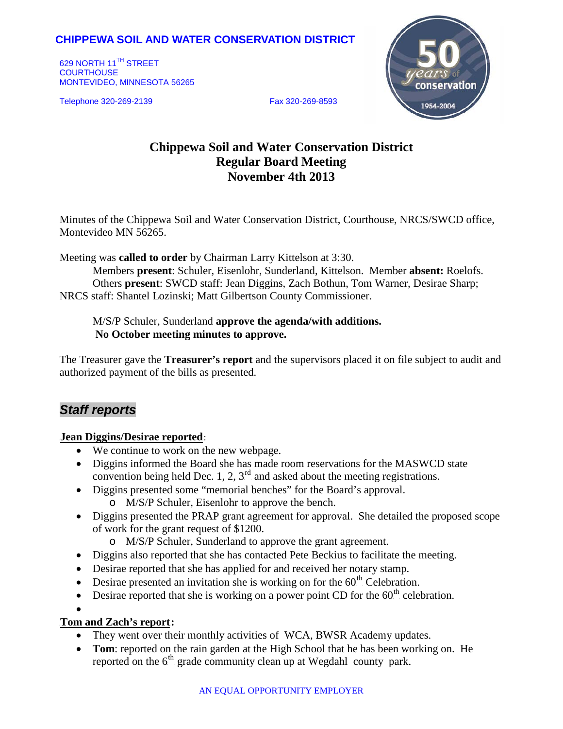# **CHIPPEWA SOIL AND WATER CONSERVATION DISTRICT**

629 NORTH 11<sup>TH</sup> STREET **COURTHOUSE** MONTEVIDEO, MINNESOTA 56265

Telephone 320-269-2139 Fax 320-269-8593



# **Chippewa Soil and Water Conservation District Regular Board Meeting November 4th 2013**

Minutes of the Chippewa Soil and Water Conservation District, Courthouse, NRCS/SWCD office, Montevideo MN 56265.

Meeting was **called to order** by Chairman Larry Kittelson at 3:30.

Members **present**: Schuler, Eisenlohr, Sunderland, Kittelson. Member **absent:** Roelofs. Others **present**: SWCD staff: Jean Diggins, Zach Bothun, Tom Warner, Desirae Sharp; NRCS staff: Shantel Lozinski; Matt Gilbertson County Commissioner.

M/S/P Schuler, Sunderland **approve the agenda/with additions. No October meeting minutes to approve.**

The Treasurer gave the **Treasurer's report** and the supervisors placed it on file subject to audit and authorized payment of the bills as presented.

# *Staff reports*

#### **Jean Diggins/Desirae reported:**

- We continue to work on the new webpage.
- Diggins informed the Board she has made room reservations for the MASWCD state convention being held Dec. 1, 2,  $3<sup>rd</sup>$  and asked about the meeting registrations.
- Diggins presented some "memorial benches" for the Board's approval.
	- o M/S/P Schuler, Eisenlohr to approve the bench.
- Diggins presented the PRAP grant agreement for approval. She detailed the proposed scope of work for the grant request of \$1200.
	- o M/S/P Schuler, Sunderland to approve the grant agreement.
- Diggins also reported that she has contacted Pete Beckius to facilitate the meeting.
- Desirae reported that she has applied for and received her notary stamp.
- Desirae presented an invitation she is working on for the  $60<sup>th</sup>$  Celebration.
- Desirae reported that she is working on a power point CD for the  $60<sup>th</sup>$  celebration.

•

## **Tom and Zach's report:**

- They went over their monthly activities of WCA, BWSR Academy updates.
- **Tom**: reported on the rain garden at the High School that he has been working on. He reported on the  $6<sup>th</sup>$  grade community clean up at Wegdahl county park.